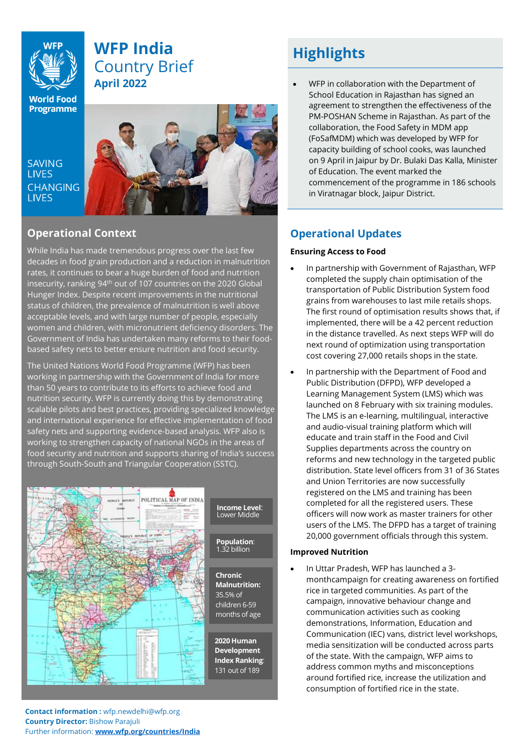# **WFP India** Country Brief **April 2022**

**World Food Programme** 

**SAVING LIVES CHANGING LIVES** 



## **Operational Context**

While India has made tremendous progress over the last few decades in food grain production and a reduction in malnutrition rates, it continues to bear a huge burden of food and nutrition insecurity, ranking 94<sup>th</sup> out of 107 countries on the 2020 Global Hunger Index. Despite recent improvements in the nutritional status of children, the prevalence of malnutrition is well above acceptable levels, and with large number of people, especially women and children, with micronutrient deficiency disorders. The Government of India has undertaken many reforms to their foodbased safety nets to better ensure nutrition and food security.

The United Nations World Food Programme (WFP) has been working in partnership with the Government of India for more than 50 years to contribute to its efforts to achieve food and nutrition security. WFP is currently doing this by demonstrating scalable pilots and best practices, providing specialized knowledge and international experience for effective implementation of food safety nets and supporting evidence-based analysis. WFP also is working to strengthen capacity of national NGOs in the areas of food security and nutrition and supports sharing of India's success through South-South and Triangular Cooperation (SSTC).



# **Highlights**

• WFP in collaboration with the Department of School Education in Rajasthan has signed an agreement to strengthen the effectiveness of the PM-POSHAN Scheme in Rajasthan. As part of the collaboration, the Food Safety in MDM app (FoSafMDM) which was developed by WFP for capacity building of school cooks, was launched on 9 April in Jaipur by Dr. Bulaki Das Kalla, Minister of Education. The event marked the commencement of the programme in 186 schools in Viratnagar block, Jaipur District.

## **Operational Updates**

### **Ensuring Access to Food**

- In partnership with Government of Rajasthan, WFP completed the supply chain optimisation of the transportation of Public Distribution System food grains from warehouses to last mile retails shops. The first round of optimisation results shows that, if implemented, there will be a 42 percent reduction in the distance travelled. As next steps WFP will do next round of optimization using transportation cost covering 27,000 retails shops in the state.
- In partnership with the Department of Food and Public Distribution (DFPD), WFP developed a Learning Management System (LMS) which was launched on 8 February with six training modules. The LMS is an e-learning, multilingual, interactive and audio-visual training platform which will educate and train staff in the Food and Civil Supplies departments across the country on reforms and new technology in the targeted public distribution. State level officers from 31 of 36 States and Union Territories are now successfully registered on the LMS and training has been completed for all the registered users. These officers will now work as master trainers for other users of the LMS. The DFPD has a target of training 20,000 government officials through this system.

#### **Improved Nutrition**

• In Uttar Pradesh, WFP has launched a 3 monthcampaign for creating awareness on fortified rice in targeted communities. As part of the campaign, innovative behaviour change and communication activities such as cooking demonstrations, Information, Education and Communication (IEC) vans, district level workshops, media sensitization will be conducted across parts of the state. With the campaign, WFP aims to address common myths and misconceptions around fortified rice, increase the utilization and consumption of fortified rice in the state.

**Contact information :** wfp.newdelhi@wfp.org **Country Director: Bishow Parajuli** Further information: **[www.wfp.org/countries/India](http://www.wfp.org/countries/India)**